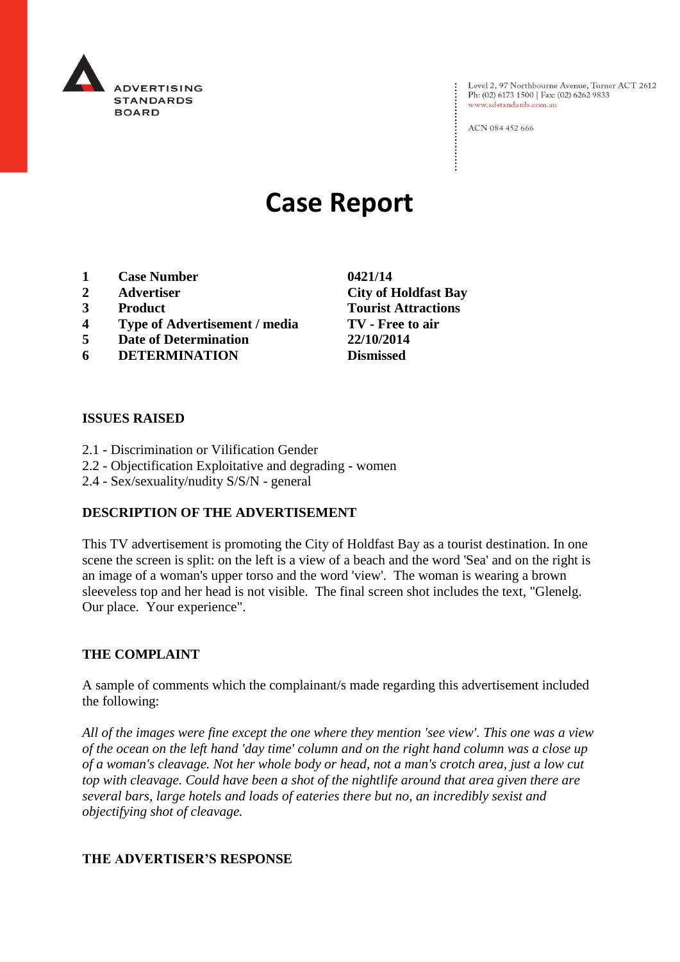

Level 2, 97 Northbourne Avenue, Turner ACT 2612<br>Ph: (02) 6173 1500 | Fax: (02) 6262 9833 www.adstandards.com.au

ACN 084 452 666

# **Case Report**

- **1 Case Number 0421/14**
- **2 Advertiser City of Holdfast Bay**
- **3 Product Tourist Attractions**
- **4 Type of Advertisement / media TV - Free to air**
- **5 Date of Determination 22/10/2014**
- **6 DETERMINATION Dismissed**

#### **ISSUES RAISED**

- 2.1 Discrimination or Vilification Gender
- 2.2 Objectification Exploitative and degrading women
- 2.4 Sex/sexuality/nudity S/S/N general

## **DESCRIPTION OF THE ADVERTISEMENT**

This TV advertisement is promoting the City of Holdfast Bay as a tourist destination. In one scene the screen is split: on the left is a view of a beach and the word 'Sea' and on the right is an image of a woman's upper torso and the word 'view'. The woman is wearing a brown sleeveless top and her head is not visible. The final screen shot includes the text, "Glenelg. Our place. Your experience".

#### **THE COMPLAINT**

A sample of comments which the complainant/s made regarding this advertisement included the following:

*All of the images were fine except the one where they mention 'see view'. This one was a view of the ocean on the left hand 'day time' column and on the right hand column was a close up of a woman's cleavage. Not her whole body or head, not a man's crotch area, just a low cut top with cleavage. Could have been a shot of the nightlife around that area given there are several bars, large hotels and loads of eateries there but no, an incredibly sexist and objectifying shot of cleavage.*

#### **THE ADVERTISER'S RESPONSE**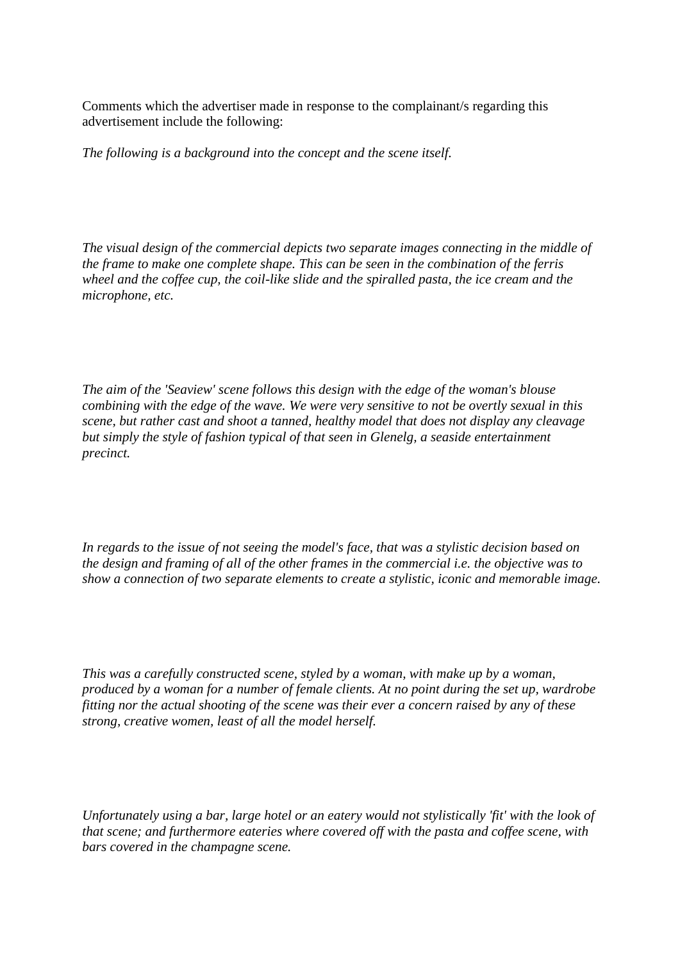Comments which the advertiser made in response to the complainant/s regarding this advertisement include the following:

*The following is a background into the concept and the scene itself.*

*The visual design of the commercial depicts two separate images connecting in the middle of the frame to make one complete shape. This can be seen in the combination of the ferris wheel and the coffee cup, the coil-like slide and the spiralled pasta, the ice cream and the microphone, etc.* 

*The aim of the 'Seaview' scene follows this design with the edge of the woman's blouse combining with the edge of the wave. We were very sensitive to not be overtly sexual in this scene, but rather cast and shoot a tanned, healthy model that does not display any cleavage but simply the style of fashion typical of that seen in Glenelg, a seaside entertainment precinct.* 

*In regards to the issue of not seeing the model's face, that was a stylistic decision based on the design and framing of all of the other frames in the commercial i.e. the objective was to show a connection of two separate elements to create a stylistic, iconic and memorable image.* 

*This was a carefully constructed scene, styled by a woman, with make up by a woman, produced by a woman for a number of female clients. At no point during the set up, wardrobe fitting nor the actual shooting of the scene was their ever a concern raised by any of these strong, creative women, least of all the model herself.* 

*Unfortunately using a bar, large hotel or an eatery would not stylistically 'fit' with the look of that scene; and furthermore eateries where covered off with the pasta and coffee scene, with bars covered in the champagne scene.*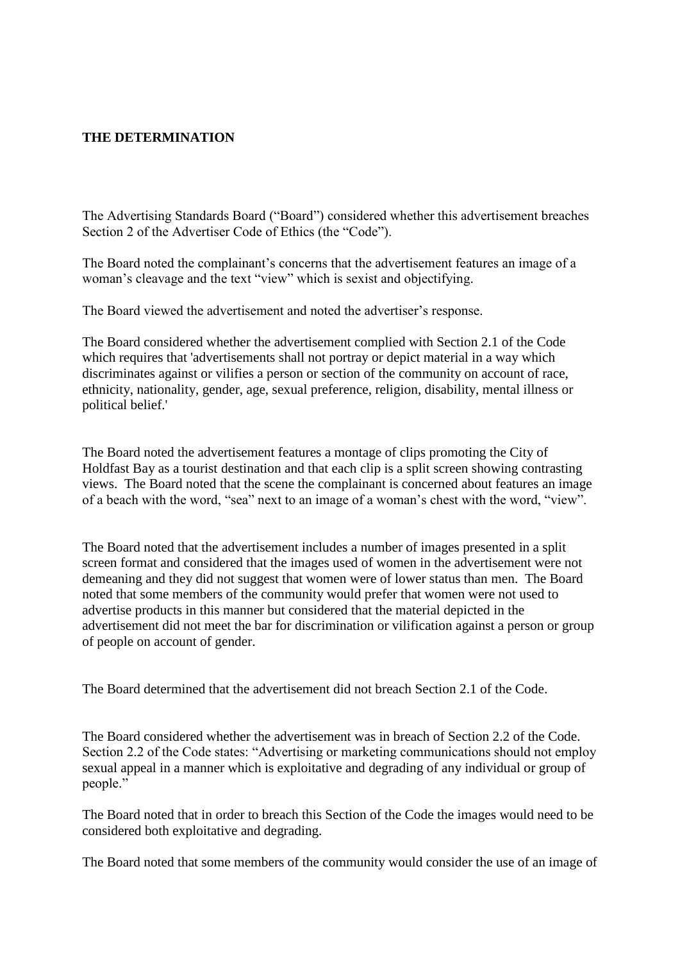## **THE DETERMINATION**

The Advertising Standards Board ("Board") considered whether this advertisement breaches Section 2 of the Advertiser Code of Ethics (the "Code").

The Board noted the complainant's concerns that the advertisement features an image of a woman's cleavage and the text "view" which is sexist and objectifying.

The Board viewed the advertisement and noted the advertiser's response.

The Board considered whether the advertisement complied with Section 2.1 of the Code which requires that 'advertisements shall not portray or depict material in a way which discriminates against or vilifies a person or section of the community on account of race, ethnicity, nationality, gender, age, sexual preference, religion, disability, mental illness or political belief.'

The Board noted the advertisement features a montage of clips promoting the City of Holdfast Bay as a tourist destination and that each clip is a split screen showing contrasting views. The Board noted that the scene the complainant is concerned about features an image of a beach with the word, "sea" next to an image of a woman's chest with the word, "view".

The Board noted that the advertisement includes a number of images presented in a split screen format and considered that the images used of women in the advertisement were not demeaning and they did not suggest that women were of lower status than men. The Board noted that some members of the community would prefer that women were not used to advertise products in this manner but considered that the material depicted in the advertisement did not meet the bar for discrimination or vilification against a person or group of people on account of gender.

The Board determined that the advertisement did not breach Section 2.1 of the Code.

The Board considered whether the advertisement was in breach of Section 2.2 of the Code. Section 2.2 of the Code states: "Advertising or marketing communications should not employ sexual appeal in a manner which is exploitative and degrading of any individual or group of people."

The Board noted that in order to breach this Section of the Code the images would need to be considered both exploitative and degrading.

The Board noted that some members of the community would consider the use of an image of